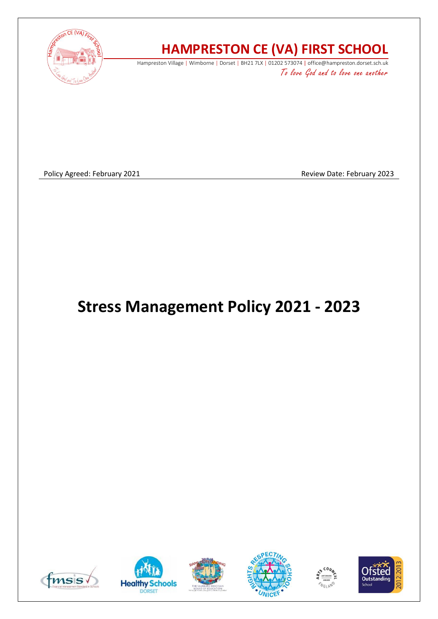

# **HAMPRESTON CE (VA) FIRST SCHOOL**

Hampreston Village | Wimborne | Dorset | BH21 7LX | 01202 573074 | office@hampreston.dorset.sch.uk To love God and to love one another

Policy Agreed: February 2021 2021 2008 2009 2010 2010 2010 2023

# **Stress Management Policy 2021 - 2023**











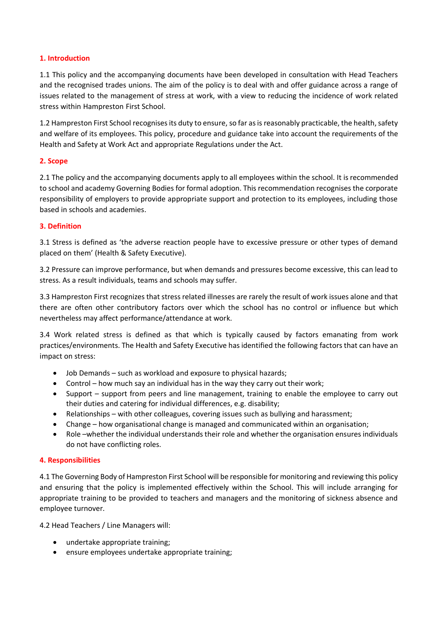# **1. Introduction**

1.1 This policy and the accompanying documents have been developed in consultation with Head Teachers and the recognised trades unions. The aim of the policy is to deal with and offer guidance across a range of issues related to the management of stress at work, with a view to reducing the incidence of work related stress within Hampreston First School.

1.2 Hampreston First School recognises its duty to ensure, so far as is reasonably practicable, the health, safety and welfare of its employees. This policy, procedure and guidance take into account the requirements of the Health and Safety at Work Act and appropriate Regulations under the Act.

# **2. Scope**

2.1 The policy and the accompanying documents apply to all employees within the school. It is recommended to school and academy Governing Bodies for formal adoption. This recommendation recognises the corporate responsibility of employers to provide appropriate support and protection to its employees, including those based in schools and academies.

# **3. Definition**

3.1 Stress is defined as 'the adverse reaction people have to excessive pressure or other types of demand placed on them' (Health & Safety Executive).

3.2 Pressure can improve performance, but when demands and pressures become excessive, this can lead to stress. As a result individuals, teams and schools may suffer.

3.3 Hampreston First recognizes that stress related illnesses are rarely the result of work issues alone and that there are often other contributory factors over which the school has no control or influence but which nevertheless may affect performance/attendance at work.

3.4 Work related stress is defined as that which is typically caused by factors emanating from work practices/environments. The Health and Safety Executive has identified the following factors that can have an impact on stress:

- Job Demands such as workload and exposure to physical hazards;
- Control how much say an individual has in the way they carry out their work;
- Support support from peers and line management, training to enable the employee to carry out their duties and catering for individual differences, e.g. disability;
- Relationships with other colleagues, covering issues such as bullying and harassment;
- Change how organisational change is managed and communicated within an organisation;
- Role –whether the individual understands their role and whether the organisation ensures individuals do not have conflicting roles.

#### **4. Responsibilities**

4.1 The Governing Body of Hampreston First School will be responsible for monitoring and reviewing this policy and ensuring that the policy is implemented effectively within the School. This will include arranging for appropriate training to be provided to teachers and managers and the monitoring of sickness absence and employee turnover.

4.2 Head Teachers / Line Managers will:

- undertake appropriate training;
- ensure employees undertake appropriate training;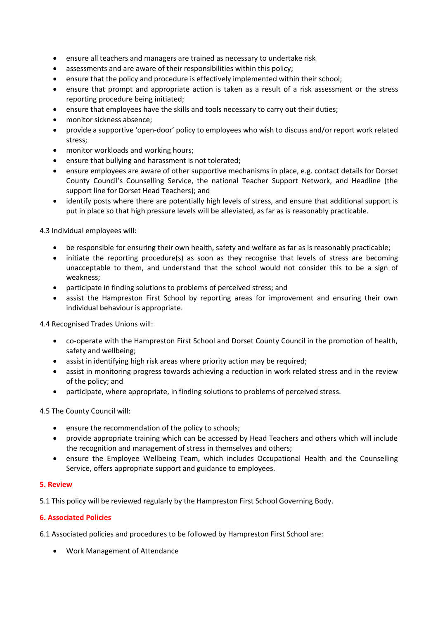- ensure all teachers and managers are trained as necessary to undertake risk
- assessments and are aware of their responsibilities within this policy;
- ensure that the policy and procedure is effectively implemented within their school;
- ensure that prompt and appropriate action is taken as a result of a risk assessment or the stress reporting procedure being initiated;
- ensure that employees have the skills and tools necessary to carry out their duties;
- monitor sickness absence;
- provide a supportive 'open-door' policy to employees who wish to discuss and/or report work related stress;
- monitor workloads and working hours:
- ensure that bullying and harassment is not tolerated;
- ensure employees are aware of other supportive mechanisms in place, e.g. contact details for Dorset County Council's Counselling Service, the national Teacher Support Network, and Headline (the support line for Dorset Head Teachers); and
- identify posts where there are potentially high levels of stress, and ensure that additional support is put in place so that high pressure levels will be alleviated, as far as is reasonably practicable.

4.3 Individual employees will:

- be responsible for ensuring their own health, safety and welfare as far as is reasonably practicable;
- initiate the reporting procedure(s) as soon as they recognise that levels of stress are becoming unacceptable to them, and understand that the school would not consider this to be a sign of weakness;
- participate in finding solutions to problems of perceived stress; and
- assist the Hampreston First School by reporting areas for improvement and ensuring their own individual behaviour is appropriate.

4.4 Recognised Trades Unions will:

- co-operate with the Hampreston First School and Dorset County Council in the promotion of health, safety and wellbeing;
- assist in identifying high risk areas where priority action may be required;
- assist in monitoring progress towards achieving a reduction in work related stress and in the review of the policy; and
- participate, where appropriate, in finding solutions to problems of perceived stress.

4.5 The County Council will:

- ensure the recommendation of the policy to schools;
- provide appropriate training which can be accessed by Head Teachers and others which will include the recognition and management of stress in themselves and others;
- ensure the Employee Wellbeing Team, which includes Occupational Health and the Counselling Service, offers appropriate support and guidance to employees.

#### **5. Review**

5.1 This policy will be reviewed regularly by the Hampreston First School Governing Body.

#### **6. Associated Policies**

6.1 Associated policies and procedures to be followed by Hampreston First School are:

• Work Management of Attendance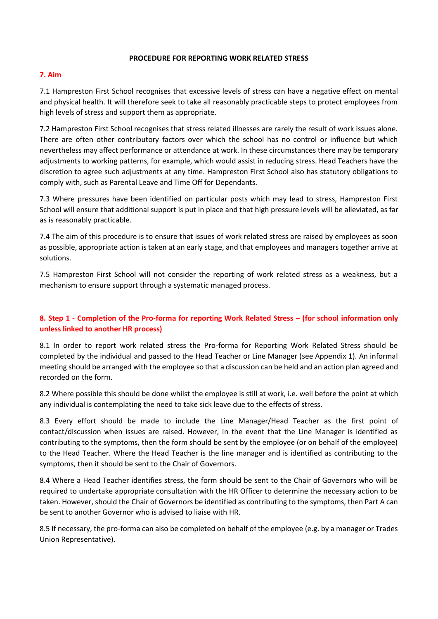#### **PROCEDURE FOR REPORTING WORK RELATED STRESS**

# **7. Aim**

7.1 Hampreston First School recognises that excessive levels of stress can have a negative effect on mental and physical health. It will therefore seek to take all reasonably practicable steps to protect employees from high levels of stress and support them as appropriate.

7.2 Hampreston First School recognises that stress related illnesses are rarely the result of work issues alone. There are often other contributory factors over which the school has no control or influence but which nevertheless may affect performance or attendance at work. In these circumstances there may be temporary adjustments to working patterns, for example, which would assist in reducing stress. Head Teachers have the discretion to agree such adjustments at any time. Hampreston First School also has statutory obligations to comply with, such as Parental Leave and Time Off for Dependants.

7.3 Where pressures have been identified on particular posts which may lead to stress, Hampreston First School will ensure that additional support is put in place and that high pressure levels will be alleviated, as far as is reasonably practicable.

7.4 The aim of this procedure is to ensure that issues of work related stress are raised by employees as soon as possible, appropriate action is taken at an early stage, and that employees and managers together arrive at solutions.

7.5 Hampreston First School will not consider the reporting of work related stress as a weakness, but a mechanism to ensure support through a systematic managed process.

# **8. Step 1 - Completion of the Pro-forma for reporting Work Related Stress – (for school information only unless linked to another HR process)**

8.1 In order to report work related stress the Pro-forma for Reporting Work Related Stress should be completed by the individual and passed to the Head Teacher or Line Manager (see Appendix 1). An informal meeting should be arranged with the employee so that a discussion can be held and an action plan agreed and recorded on the form.

8.2 Where possible this should be done whilst the employee is still at work, i.e. well before the point at which any individual is contemplating the need to take sick leave due to the effects of stress.

8.3 Every effort should be made to include the Line Manager/Head Teacher as the first point of contact/discussion when issues are raised. However, in the event that the Line Manager is identified as contributing to the symptoms, then the form should be sent by the employee (or on behalf of the employee) to the Head Teacher. Where the Head Teacher is the line manager and is identified as contributing to the symptoms, then it should be sent to the Chair of Governors.

8.4 Where a Head Teacher identifies stress, the form should be sent to the Chair of Governors who will be required to undertake appropriate consultation with the HR Officer to determine the necessary action to be taken. However, should the Chair of Governors be identified as contributing to the symptoms, then Part A can be sent to another Governor who is advised to liaise with HR.

8.5 If necessary, the pro-forma can also be completed on behalf of the employee (e.g. by a manager or Trades Union Representative).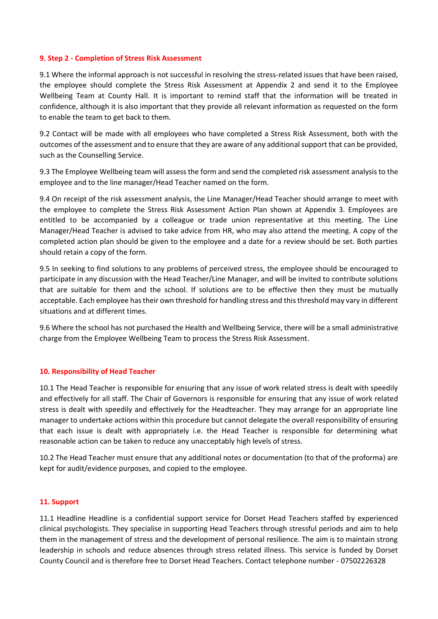#### **9. Step 2 - Completion of Stress Risk Assessment**

9.1 Where the informal approach is not successful in resolving the stress-related issues that have been raised, the employee should complete the Stress Risk Assessment at Appendix 2 and send it to the Employee Wellbeing Team at County Hall. It is important to remind staff that the information will be treated in confidence, although it is also important that they provide all relevant information as requested on the form to enable the team to get back to them.

9.2 Contact will be made with all employees who have completed a Stress Risk Assessment, both with the outcomes of the assessment and to ensure that they are aware of any additional support that can be provided, such as the Counselling Service.

9.3 The Employee Wellbeing team will assess the form and send the completed risk assessment analysis to the employee and to the line manager/Head Teacher named on the form.

9.4 On receipt of the risk assessment analysis, the Line Manager/Head Teacher should arrange to meet with the employee to complete the Stress Risk Assessment Action Plan shown at Appendix 3. Employees are entitled to be accompanied by a colleague or trade union representative at this meeting. The Line Manager/Head Teacher is advised to take advice from HR, who may also attend the meeting. A copy of the completed action plan should be given to the employee and a date for a review should be set. Both parties should retain a copy of the form.

9.5 In seeking to find solutions to any problems of perceived stress, the employee should be encouraged to participate in any discussion with the Head Teacher/Line Manager, and will be invited to contribute solutions that are suitable for them and the school. If solutions are to be effective then they must be mutually acceptable. Each employee has their own threshold for handling stress and this threshold may vary in different situations and at different times.

9.6 Where the school has not purchased the Health and Wellbeing Service, there will be a small administrative charge from the Employee Wellbeing Team to process the Stress Risk Assessment.

#### **10. Responsibility of Head Teacher**

10.1 The Head Teacher is responsible for ensuring that any issue of work related stress is dealt with speedily and effectively for all staff. The Chair of Governors is responsible for ensuring that any issue of work related stress is dealt with speedily and effectively for the Headteacher. They may arrange for an appropriate line manager to undertake actions within this procedure but cannot delegate the overall responsibility of ensuring that each issue is dealt with appropriately i.e. the Head Teacher is responsible for determining what reasonable action can be taken to reduce any unacceptably high levels of stress.

10.2 The Head Teacher must ensure that any additional notes or documentation (to that of the proforma) are kept for audit/evidence purposes, and copied to the employee.

#### **11. Support**

11.1 Headline Headline is a confidential support service for Dorset Head Teachers staffed by experienced clinical psychologists. They specialise in supporting Head Teachers through stressful periods and aim to help them in the management of stress and the development of personal resilience. The aim is to maintain strong leadership in schools and reduce absences through stress related illness. This service is funded by Dorset County Council and is therefore free to Dorset Head Teachers. Contact telephone number - 07502226328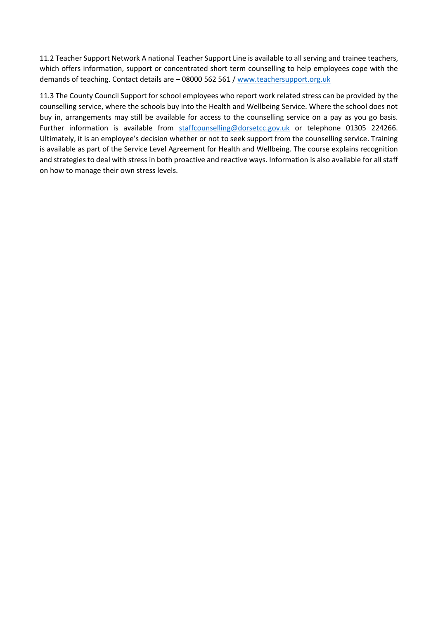11.2 Teacher Support Network A national Teacher Support Line is available to all serving and trainee teachers, which offers information, support or concentrated short term counselling to help employees cope with the demands of teaching. Contact details are – 08000 562 561 [/ www.teachersupport.org.uk](http://www.teachersupport.org.uk/)

11.3 The County Council Support for school employees who report work related stress can be provided by the counselling service, where the schools buy into the Health and Wellbeing Service. Where the school does not buy in, arrangements may still be available for access to the counselling service on a pay as you go basis. Further information is available from [staffcounselling@dorsetcc.gov.uk](mailto:staffcounselling@dorsetcc.gov.uk) or telephone 01305 224266. Ultimately, it is an employee's decision whether or not to seek support from the counselling service. Training is available as part of the Service Level Agreement for Health and Wellbeing. The course explains recognition and strategies to deal with stress in both proactive and reactive ways. Information is also available for all staff on how to manage their own stress levels.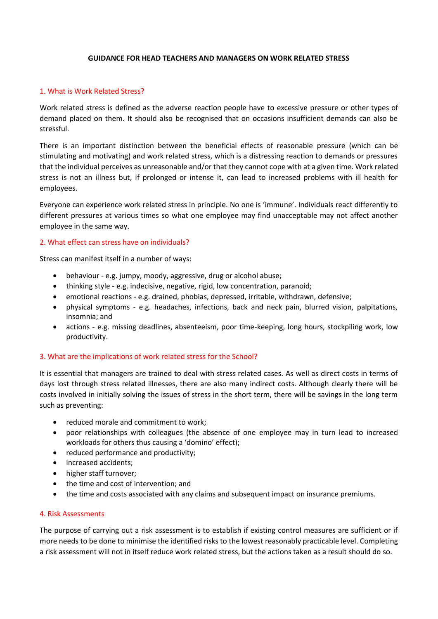#### **GUIDANCE FOR HEAD TEACHERS AND MANAGERS ON WORK RELATED STRESS**

#### 1. What is Work Related Stress?

Work related stress is defined as the adverse reaction people have to excessive pressure or other types of demand placed on them. It should also be recognised that on occasions insufficient demands can also be stressful.

There is an important distinction between the beneficial effects of reasonable pressure (which can be stimulating and motivating) and work related stress, which is a distressing reaction to demands or pressures that the individual perceives as unreasonable and/or that they cannot cope with at a given time. Work related stress is not an illness but, if prolonged or intense it, can lead to increased problems with ill health for employees.

Everyone can experience work related stress in principle. No one is 'immune'. Individuals react differently to different pressures at various times so what one employee may find unacceptable may not affect another employee in the same way.

# 2. What effect can stress have on individuals?

Stress can manifest itself in a number of ways:

- behaviour e.g. jumpy, moody, aggressive, drug or alcohol abuse;
- thinking style e.g. indecisive, negative, rigid, low concentration, paranoid;
- emotional reactions e.g. drained, phobias, depressed, irritable, withdrawn, defensive;
- physical symptoms e.g. headaches, infections, back and neck pain, blurred vision, palpitations, insomnia; and
- actions e.g. missing deadlines, absenteeism, poor time-keeping, long hours, stockpiling work, low productivity.

#### 3. What are the implications of work related stress for the School?

It is essential that managers are trained to deal with stress related cases. As well as direct costs in terms of days lost through stress related illnesses, there are also many indirect costs. Although clearly there will be costs involved in initially solving the issues of stress in the short term, there will be savings in the long term such as preventing:

- reduced morale and commitment to work;
- poor relationships with colleagues (the absence of one employee may in turn lead to increased workloads for others thus causing a 'domino' effect);
- reduced performance and productivity;
- increased accidents;
- higher staff turnover;
- the time and cost of intervention; and
- the time and costs associated with any claims and subsequent impact on insurance premiums.

#### 4. Risk Assessments

The purpose of carrying out a risk assessment is to establish if existing control measures are sufficient or if more needs to be done to minimise the identified risks to the lowest reasonably practicable level. Completing a risk assessment will not in itself reduce work related stress, but the actions taken as a result should do so.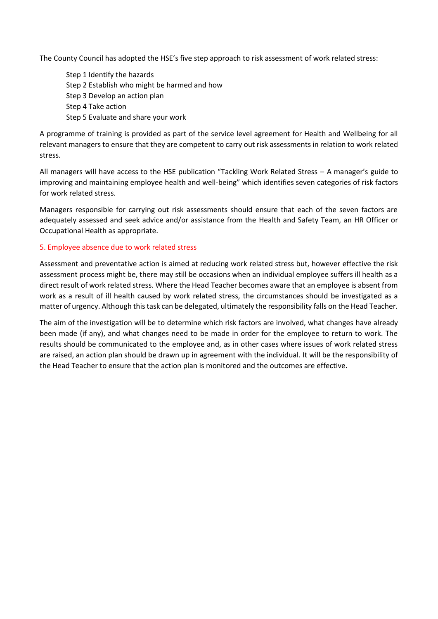The County Council has adopted the HSE's five step approach to risk assessment of work related stress:

Step 1 Identify the hazards Step 2 Establish who might be harmed and how Step 3 Develop an action plan Step 4 Take action Step 5 Evaluate and share your work

A programme of training is provided as part of the service level agreement for Health and Wellbeing for all relevant managers to ensure that they are competent to carry out risk assessments in relation to work related stress.

All managers will have access to the HSE publication "Tackling Work Related Stress – A manager's guide to improving and maintaining employee health and well-being" which identifies seven categories of risk factors for work related stress.

Managers responsible for carrying out risk assessments should ensure that each of the seven factors are adequately assessed and seek advice and/or assistance from the Health and Safety Team, an HR Officer or Occupational Health as appropriate.

# 5. Employee absence due to work related stress

Assessment and preventative action is aimed at reducing work related stress but, however effective the risk assessment process might be, there may still be occasions when an individual employee suffers ill health as a direct result of work related stress. Where the Head Teacher becomes aware that an employee is absent from work as a result of ill health caused by work related stress, the circumstances should be investigated as a matter of urgency. Although this task can be delegated, ultimately the responsibility falls on the Head Teacher.

The aim of the investigation will be to determine which risk factors are involved, what changes have already been made (if any), and what changes need to be made in order for the employee to return to work. The results should be communicated to the employee and, as in other cases where issues of work related stress are raised, an action plan should be drawn up in agreement with the individual. It will be the responsibility of the Head Teacher to ensure that the action plan is monitored and the outcomes are effective.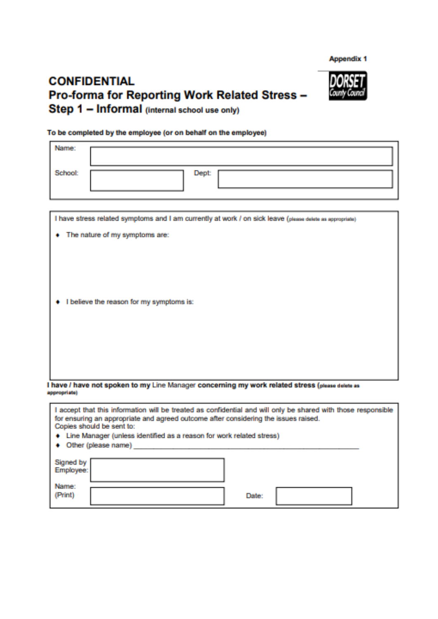**Appendix 1** 

# **CONFIDENTIAL** Pro-forma for Reporting Work Related Stress -Step 1 - Informal (internal school use only)



#### To be completed by the employee (or on behalf on the employee)

| Name:          |                                                                                                                                            |
|----------------|--------------------------------------------------------------------------------------------------------------------------------------------|
| <b>School:</b> | <b>Dept:</b>                                                                                                                               |
| ٠              | I have stress related symptoms and I am currently at work / on sick leave (please delate as appropriate)<br>The nature of my symptoms are: |
|                |                                                                                                                                            |
| æ.             | I believe the reason for my symptoms is:                                                                                                   |
|                |                                                                                                                                            |
|                | I have / have not spoken to my Line Manager concerning my work related stress (please delete as                                            |
| appropriate)   |                                                                                                                                            |

| I accept that this information will be treated as confidential and will only be shared with those responsible<br>for ensuring an appropriate and agreed outcome after considering the issues raised.<br>Copies should be sent to: |              |  |  |  |  |  |  |
|-----------------------------------------------------------------------------------------------------------------------------------------------------------------------------------------------------------------------------------|--------------|--|--|--|--|--|--|
| + Line Manager (unless identified as a reason for work related stress)                                                                                                                                                            |              |  |  |  |  |  |  |
| • Other (please name)                                                                                                                                                                                                             |              |  |  |  |  |  |  |
| Signed by<br>Employee:                                                                                                                                                                                                            |              |  |  |  |  |  |  |
| Name:<br>(Print)                                                                                                                                                                                                                  | <b>Date:</b> |  |  |  |  |  |  |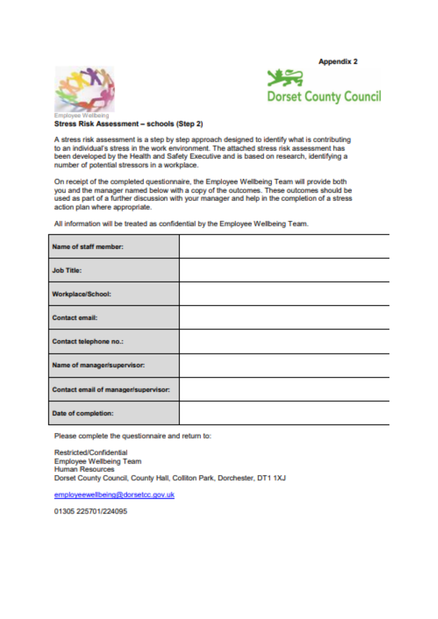**Appendix 2** 





**Stress Risk Assessment - schools (Step 2)** 

A stress risk assessment is a step by step approach designed to identify what is contributing to an individual's stress in the work environment. The attached stress risk assessment has been developed by the Health and Safety Executive and is based on research, identifying a number of potential stressors in a workplace.

On receipt of the completed questionnaire, the Employee Wellbeing Team will provide both you and the manager named below with a copy of the outcomes. These outcomes should be used as part of a further discussion with your manager and help in the completion of a stress action plan where appropriate.

All information will be treated as confidential by the Employee Wellbeing Team.

| Name of staff member:                |  |
|--------------------------------------|--|
| <b>Job Title:</b>                    |  |
| Workplace/School:                    |  |
| <b>Contact email:</b>                |  |
| Contact telephone no.:               |  |
| Name of manager/supervisor:          |  |
| Contact email of manager/supervisor: |  |
| Date of completion:                  |  |

Please complete the questionnaire and return to:

Restricted/Confidential **Employee Wellbeing Team Human Resources** Dorset County Council, County Hall, Colliton Park, Dorchester, DT1 1XJ

employeewellbeing@dorsetcc.gov.uk

01305 225701/224095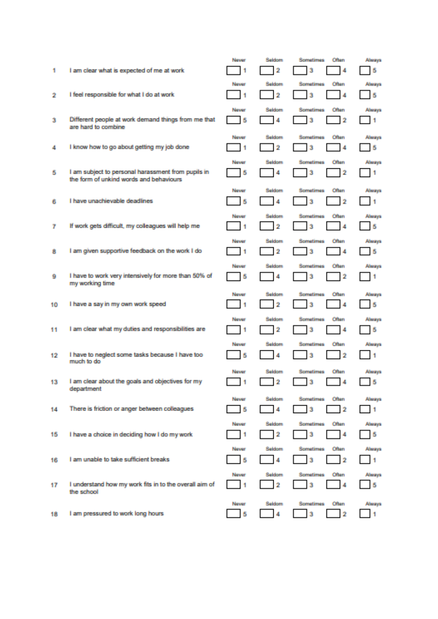| 1.  | I am clear what is expected of me at work                                                     | Never<br>1 | Seldom<br>2                       | Often<br><b>Sometimes</b><br>з<br>4        | Always<br>В    |
|-----|-----------------------------------------------------------------------------------------------|------------|-----------------------------------|--------------------------------------------|----------------|
| 2   | I feel responsible for what I do at work                                                      | Never<br>1 | Seldom<br>2                       | Sometimes:<br><b>Often</b><br>3<br>4       | Always<br>ь    |
| з   | Different people at work demand things from me that<br>are hard to combine.                   | Never<br>в | <b>Seldom</b><br>4                | <b>Sometimes</b><br>Often<br>3<br>2        | Ahenya<br>n    |
| 4   | I know how to go about getting my job done                                                    | Never<br>1 | <b>Seldom</b><br>2                | <b>Sometimes</b><br>Often<br>3<br>4        | Abearys<br>ь   |
| в   | I am subject to personal harassment from pupils in<br>the form of unkind words and behaviours | Never<br>В | <b>Seldom</b><br>4                | Often<br><b>Sometimes</b><br>2<br>3        | Always<br>n    |
| 6   | I have unachievable deadlines                                                                 | Never<br>в | <b>Seldom</b><br>4                | <b>Sometimes</b><br>Often<br>3<br>2        | Always<br>п    |
| Ŧ.  | If work gets difficult, my colleagues will help me                                            | Newer<br>1 | <b>Seldom</b><br>2                | <b>Sometimes</b><br>Often<br>3<br>4        | Always<br>в    |
| 8   | I am given supportive feedback on the work I do                                               | Never<br>1 | <b>Reidstand</b><br>2             | Sometimes<br>Often<br>3<br>4               | Ahearen<br>в   |
| ۰   | I have to work very intensively for more than 50% of<br>my working time                       | Never<br>в | Seldom<br>4                       | Often<br><b>Sometimes</b><br>з<br>2        | Abearys<br>n   |
|     |                                                                                               |            |                                   |                                            |                |
| 10  | I have a say in my own work speed                                                             | Never<br>1 | <b>Seldom</b><br>2                | <b>Sometimes</b><br>Often<br>3<br>4        | Always<br>Ь    |
| 11. | I am clear what my duties and responsibilities are                                            | Never<br>1 | Seldom<br>2                       | <b>Sometimes</b><br>Often<br>з<br>4        | Abearys<br>ь   |
| 12. | I have to neglect some tasks because I have too<br>much to do.                                | Never<br>В | Sektom<br>4                       | <b>Sometimes</b><br>Often<br>3<br>2        | Always<br>1    |
| 13  | I am clear about the goals and objectives for my<br>department                                | Never<br>1 | Seldom<br>$\overline{\mathbf{2}}$ | Often<br><b>Sometimes</b><br>3<br>А        | Always<br>В    |
| 14. | There is friction or anger between colleagues                                                 | Never<br>Ь | Seldom<br>4                       | Often<br><b>Sometimes</b><br>3<br>12       | Always<br>- 11 |
| 15  | I have a choice in deciding how I do my work                                                  | Never<br>1 | Seldom<br>2                       | <b>Sometimes</b><br>Often<br>3<br>4        | Always<br>ь    |
| 16  | I am unable to take sufficient breaks.                                                        | Never<br>В | <b>Seldom</b><br>4                | <b>Sometimes</b><br><b>Often</b><br>3<br>2 | Always<br>я    |
| 17  | I understand how my work fits in to the overall aim of<br>the school                          | Never<br>1 | <b>Seldom</b><br>2                | <b>Sometimes</b><br>Often<br>3<br>4        | Aheres<br>Ь    |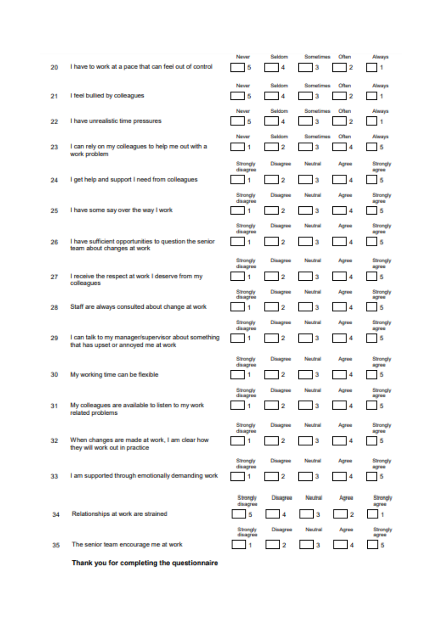| 20  | I have to work at a pace that can feel out of control                                       | Never<br>Б                       | Seldom<br>4                                 | <b>Sometimes</b><br>3 | Often<br>2                | Alwaya<br>1            |
|-----|---------------------------------------------------------------------------------------------|----------------------------------|---------------------------------------------|-----------------------|---------------------------|------------------------|
| 21  | I feel bullied by colleagues                                                                | Never<br>В                       | Seldom<br>4                                 | Sometimes<br>3        | Often<br>2                | Always<br>1            |
| 22  | I have unrealistic time pressures                                                           | Never<br>Б                       | <b>Seldom</b><br>4                          | <b>Sometimes</b><br>з | Often<br>2                | Abraya<br>1            |
| 23  | I can rely on my colleagues to help me out with a<br>work problem                           | Never<br>4                       | Seldom<br>2                                 | <b>Sometimes</b><br>3 | Often<br>4                | Always<br>в            |
| 24  | I get help and support I need from colleagues                                               | Strongly<br>disagree<br>۹        | Dissignee<br>2                              | Neutral<br>3          | Agres<br>4                | Strongly<br>80700<br>В |
| 25  | I have some say over the way I work                                                         | Strongly<br>disagree<br>4        | Disagras<br>2                               | Neutral<br>3          | Agree<br>4                | Strongly<br>80700<br>В |
| 26  | I have sufficient opportunities to question the senior<br>team about changes at work        | <b>Strongly</b><br>disagree<br>4 | Disagras<br>2                               | Neutral<br>3          | Agres<br>А                | Strongly<br>agree<br>В |
| 27  | I receive the respect at work I deserve from my<br>colleagues                               | Strongly<br>disagree<br>1        | Dissignee<br>2                              | Neutral<br>3          | Agres<br>4                | Strongly<br>80700<br>В |
| 28  | Staff are always consulted about change at work                                             | Strongly<br>disagree<br>4        | Disagree<br>2                               | Neutral<br>3          | Agree<br>4                | Strongly<br>30700<br>В |
| 29  | I can talk to my manager/supervisor about something<br>that has upset or annoyed me at work | Strongfy<br>disagree<br>1        | Disagras<br>2                               | Neutral<br>з          | Agres<br>4                | Strongly<br>agree<br>ь |
| 30  | My working time can be flexible                                                             | Strongly<br>disagree<br>1        | Disagree<br>2                               | Neutral<br>з          | Agres<br>4                | Strongly<br>30700<br>в |
| 31  | My colleagues are available to listen to my work<br>related problems                        | Strongly<br>disagree<br>1        | Dissipares<br>2                             | Neutral<br>3          | Agres<br>$\boldsymbol{4}$ | Strongly<br>30700<br>В |
| 32  | When changes are made at work, I am clear how<br>they will work out in practice             | Strongly<br>disagree<br>1        | Disagree<br>2                               | Neutral<br>3          | Agres<br>4                | Strongly<br>agree<br>В |
| 33. | I am supported through emotionally demanding work                                           | Strongly<br>disagres<br>1        | Disagree<br>2                               | Neutral<br>з          | Agres<br>4                | Standy<br>30700<br>В   |
| 34  | Relationships at work are strained                                                          | <b>Birenety</b><br>disagree<br>В | Disagree<br>А                               | Neutral<br>3          | Acres<br>2                | Strangly<br>19700<br>1 |
| 35  | The senior team encourage me at work                                                        | Strongly<br>disagree<br>1        | <b>Disappear</b><br>$\overline{\mathbf{2}}$ | Neutral<br>з          | Agres<br>4                | Strongly<br>agree<br>В |

Thank you for completing the questionnaire